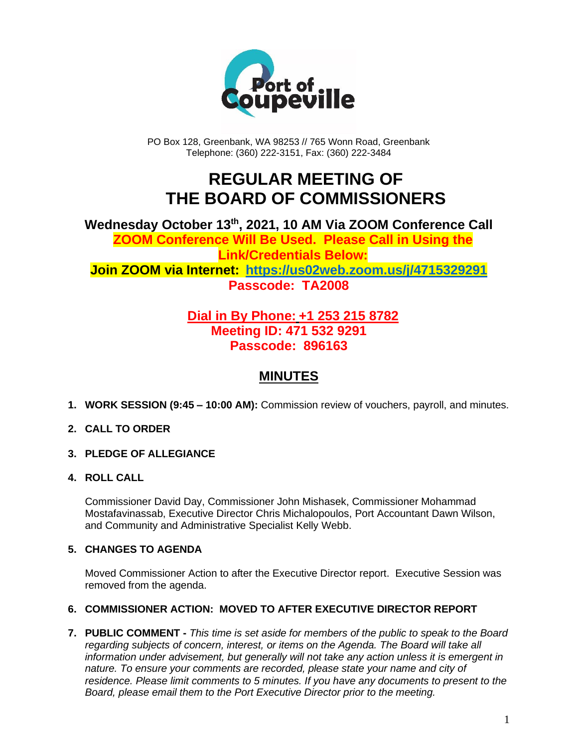

PO Box 128, Greenbank, WA 98253 // 765 Wonn Road, Greenbank Telephone: (360) 222-3151, Fax: (360) 222-3484

# **REGULAR MEETING OF THE BOARD OF COMMISSIONERS**

**Wednesday October 13th , 2021, 10 AM Via ZOOM Conference Call ZOOM Conference Will Be Used. Please Call in Using the Link/Credentials Below: Join ZOOM via Internet: <https://us02web.zoom.us/j/4715329291> Passcode: TA2008**

### **Dial in By Phone: +1 253 215 8782 Meeting ID: 471 532 9291 Passcode: 896163**

## **MINUTES**

- **1. WORK SESSION (9:45 – 10:00 AM):** Commission review of vouchers, payroll, and minutes.
- **2. CALL TO ORDER**
- **3. PLEDGE OF ALLEGIANCE**
- **4. ROLL CALL**

Commissioner David Day, Commissioner John Mishasek, Commissioner Mohammad Mostafavinassab, Executive Director Chris Michalopoulos, Port Accountant Dawn Wilson, and Community and Administrative Specialist Kelly Webb.

#### **5. CHANGES TO AGENDA**

Moved Commissioner Action to after the Executive Director report. Executive Session was removed from the agenda.

#### **6. COMMISSIONER ACTION: MOVED TO AFTER EXECUTIVE DIRECTOR REPORT**

**7. PUBLIC COMMENT -** *This time is set aside for members of the public to speak to the Board regarding subjects of concern, interest, or items on the Agenda. The Board will take all information under advisement, but generally will not take any action unless it is emergent in nature. To ensure your comments are recorded, please state your name and city of residence. Please limit comments to 5 minutes. If you have any documents to present to the Board, please email them to the Port Executive Director prior to the meeting.*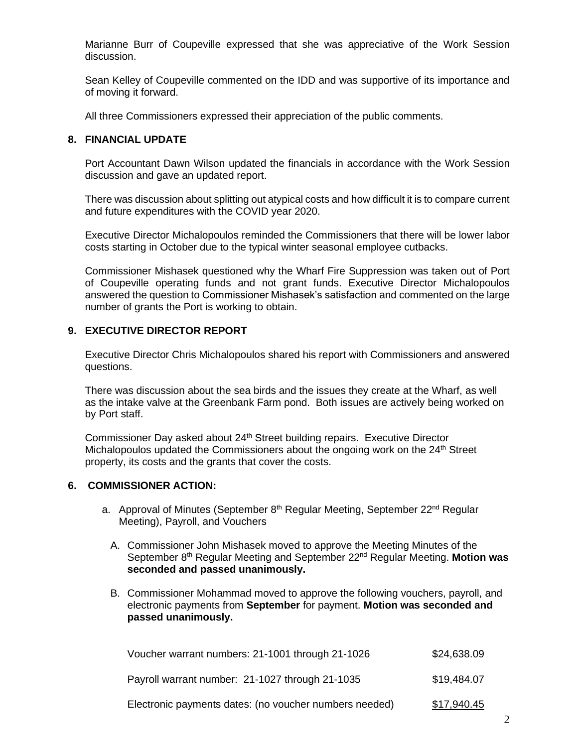Marianne Burr of Coupeville expressed that she was appreciative of the Work Session discussion.

Sean Kelley of Coupeville commented on the IDD and was supportive of its importance and of moving it forward.

All three Commissioners expressed their appreciation of the public comments.

#### **8. FINANCIAL UPDATE**

Port Accountant Dawn Wilson updated the financials in accordance with the Work Session discussion and gave an updated report.

There was discussion about splitting out atypical costs and how difficult it is to compare current and future expenditures with the COVID year 2020.

Executive Director Michalopoulos reminded the Commissioners that there will be lower labor costs starting in October due to the typical winter seasonal employee cutbacks.

Commissioner Mishasek questioned why the Wharf Fire Suppression was taken out of Port of Coupeville operating funds and not grant funds. Executive Director Michalopoulos answered the question to Commissioner Mishasek's satisfaction and commented on the large number of grants the Port is working to obtain.

#### **9. EXECUTIVE DIRECTOR REPORT**

Executive Director Chris Michalopoulos shared his report with Commissioners and answered questions.

There was discussion about the sea birds and the issues they create at the Wharf, as well as the intake valve at the Greenbank Farm pond. Both issues are actively being worked on by Port staff.

Commissioner Day asked about 24<sup>th</sup> Street building repairs. Executive Director Michalopoulos updated the Commissioners about the ongoing work on the  $24<sup>th</sup>$  Street property, its costs and the grants that cover the costs.

#### **6. COMMISSIONER ACTION:**

- a. Approval of Minutes (September 8<sup>th</sup> Regular Meeting, September 22<sup>nd</sup> Regular Meeting), Payroll, and Vouchers
	- A. Commissioner John Mishasek moved to approve the Meeting Minutes of the September 8th Regular Meeting and September 22nd Regular Meeting. **Motion was seconded and passed unanimously.**
	- B. Commissioner Mohammad moved to approve the following vouchers, payroll, and electronic payments from **September** for payment. **Motion was seconded and passed unanimously.**

| Voucher warrant numbers: 21-1001 through 21-1026       | \$24,638.09 |
|--------------------------------------------------------|-------------|
| Payroll warrant number: 21-1027 through 21-1035        | \$19,484.07 |
| Electronic payments dates: (no voucher numbers needed) | \$17,940.45 |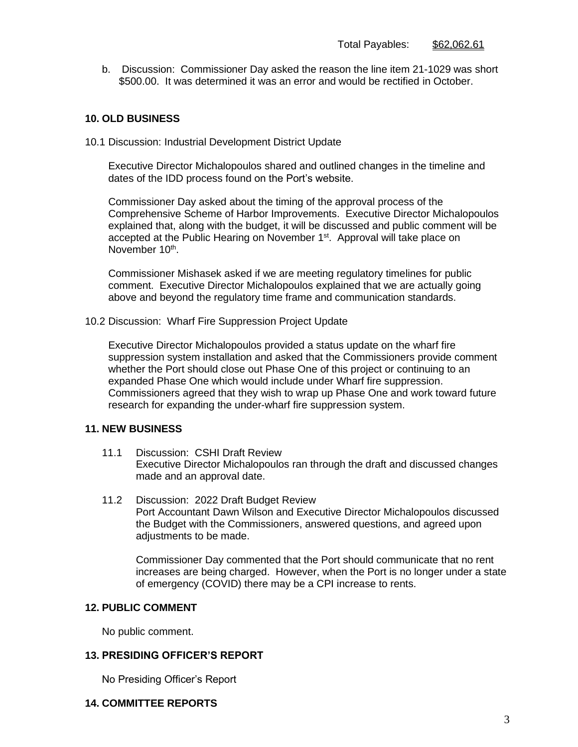b. Discussion: Commissioner Day asked the reason the line item 21-1029 was short \$500.00. It was determined it was an error and would be rectified in October.

#### **10. OLD BUSINESS**

10.1 Discussion: Industrial Development District Update

Executive Director Michalopoulos shared and outlined changes in the timeline and dates of the IDD process found on the Port's website.

Commissioner Day asked about the timing of the approval process of the Comprehensive Scheme of Harbor Improvements. Executive Director Michalopoulos explained that, along with the budget, it will be discussed and public comment will be accepted at the Public Hearing on November 1<sup>st</sup>. Approval will take place on November 10<sup>th</sup>.

Commissioner Mishasek asked if we are meeting regulatory timelines for public comment. Executive Director Michalopoulos explained that we are actually going above and beyond the regulatory time frame and communication standards.

10.2 Discussion: Wharf Fire Suppression Project Update

Executive Director Michalopoulos provided a status update on the wharf fire suppression system installation and asked that the Commissioners provide comment whether the Port should close out Phase One of this project or continuing to an expanded Phase One which would include under Wharf fire suppression. Commissioners agreed that they wish to wrap up Phase One and work toward future research for expanding the under-wharf fire suppression system.

#### **11. NEW BUSINESS**

- 11.1 Discussion: CSHI Draft Review Executive Director Michalopoulos ran through the draft and discussed changes made and an approval date.
- 11.2 Discussion: 2022 Draft Budget Review Port Accountant Dawn Wilson and Executive Director Michalopoulos discussed the Budget with the Commissioners, answered questions, and agreed upon adjustments to be made.

Commissioner Day commented that the Port should communicate that no rent increases are being charged. However, when the Port is no longer under a state of emergency (COVID) there may be a CPI increase to rents.

#### **12. PUBLIC COMMENT**

No public comment.

#### **13. PRESIDING OFFICER'S REPORT**

No Presiding Officer's Report

#### **14. COMMITTEE REPORTS**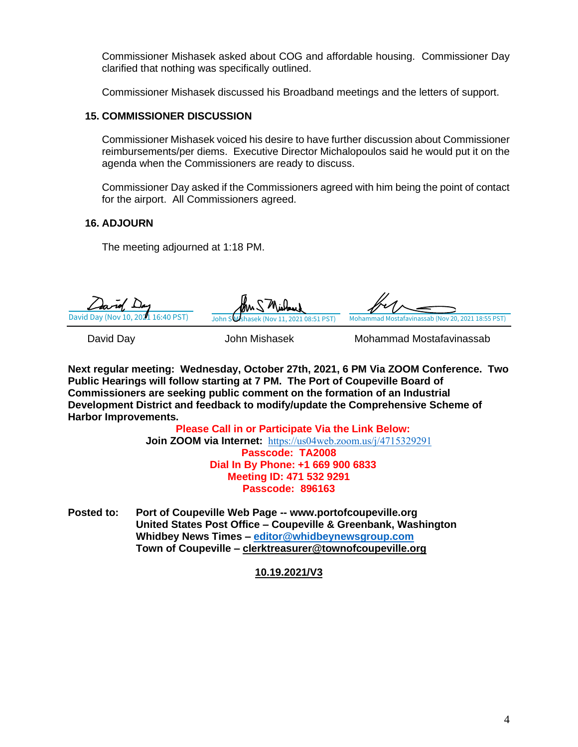Commissioner Mishasek asked about COG and affordable housing. Commissioner Day clarified that nothing was specifically outlined.

Commissioner Mishasek discussed his Broadband meetings and the letters of support.

#### **15. COMMISSIONER DISCUSSION**

Commissioner Mishasek voiced his desire to have further discussion about Commissioner reimbursements/per diems. Executive Director Michalopoulos said he would put it on the agenda when the Commissioners are ready to discuss.

Commissioner Day asked if the Commissioners agreed with him being the point of contact for the airport. All Commissioners agreed.

#### **16. ADJOURN**

The meeting adjourned at 1:18 PM.

David Day (Nov 10, 20 $\overline{2}$ 1 16:40 PST) John S Wshasek (Nov 11, 2021 08:51 PST) [Mohammad Mostafavinassab \(Nov 20, 2021 18:55 PST\)](https://na3.documents.adobe.com/verifier?tx=CBJCHBCAABAAmWyePk44uT9xk7szhZWYZUQFqHXt1glV)

David Day John Mishasek Mohammad Mostafavinassab

**Next regular meeting: Wednesday, October 27th, 2021, 6 PM Via ZOOM Conference. Two Public Hearings will follow starting at 7 PM. The Port of Coupeville Board of Commissioners are seeking public comment on the formation of an Industrial Development District and feedback to modify/update the Comprehensive Scheme of Harbor Improvements.**

> **Please Call in or Participate Via the Link Below: Join ZOOM via Internet:** <https://us04web.zoom.us/j/4715329291> **Passcode: TA2008 Dial In By Phone: +1 669 900 6833 Meeting ID: 471 532 9291 Passcode: 896163**

**Posted to: Port of Coupeville Web Page -- www.portofcoupeville.org United States Post Office – Coupeville & Greenbank, Washington Whidbey News Times – [editor@whidbeynewsgroup.com](mailto:editor@whidbeynewsgroup.com) Town of Coupeville – [clerktreasurer@townofcoupeville.org](mailto:clerktreasurer@townofcoupeville.org)**

#### **10.19.2021/V3**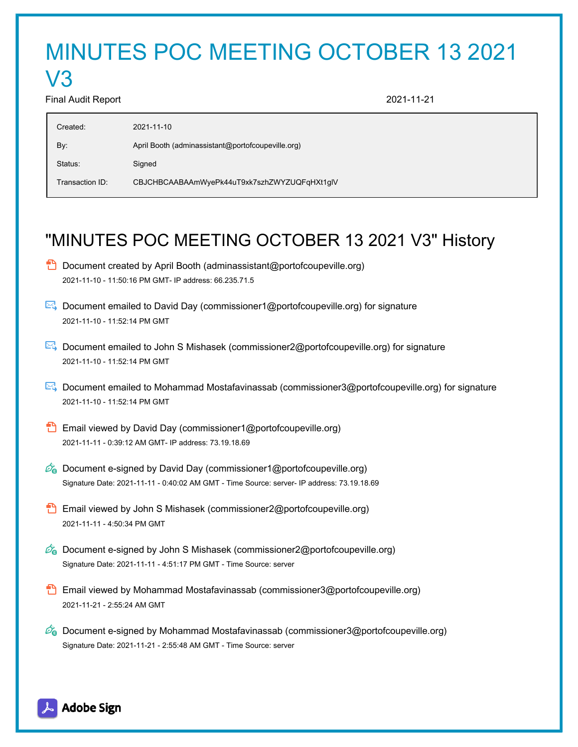# MINUTES POC MEETING OCTOBER 13 2021

#### Final Audit Report 2021-11-21

V3

| Created:        | 2021-11-10                                        |
|-----------------|---------------------------------------------------|
| By:             | April Booth (adminassistant@portofcoupeville.org) |
| Status:         | Signed                                            |
| Transaction ID: | CBJCHBCAABAAmWyePk44uT9xk7szhZWYZUQFqHXt1glV      |

# "MINUTES POC MEETING OCTOBER 13 2021 V3" History

- $\Box$  Document created by April Booth (adminassistant@portofcoupeville.org) 2021-11-10 - 11:50:16 PM GMT- IP address: 66.235.71.5
- Document emailed to David Day (commissioner1@portofcoupeville.org) for signature 2021-11-10 - 11:52:14 PM GMT
- Document emailed to John S Mishasek (commissioner2@portofcoupeville.org) for signature 2021-11-10 - 11:52:14 PM GMT
- Document emailed to Mohammad Mostafavinassab (commissioner3@portofcoupeville.org) for signature 2021-11-10 - 11:52:14 PM GMT
- **Email viewed by David Day (commissioner1@portofcoupeville.org)** 2021-11-11 - 0:39:12 AM GMT- IP address: 73.19.18.69
- $\mathscr{O}_\bullet$  Document e-signed by David Day (commissioner1@portofcoupeville.org) Signature Date: 2021-11-11 - 0:40:02 AM GMT - Time Source: server- IP address: 73.19.18.69
- Email viewed by John S Mishasek (commissioner2@portofcoupeville.org) 2021-11-11 - 4:50:34 PM GMT
- $\mathscr{O}_\bullet$  Document e-signed by John S Mishasek (commissioner2@portofcoupeville.org) Signature Date: 2021-11-11 - 4:51:17 PM GMT - Time Source: server
- **Email viewed by Mohammad Mostafavinassab (commissioner3@portofcoupeville.org)** 2021-11-21 - 2:55:24 AM GMT
- $\mathscr{D}_\bullet$  Document e-signed by Mohammad Mostafavinassab (commissioner3@portofcoupeville.org) Signature Date: 2021-11-21 - 2:55:48 AM GMT - Time Source: server